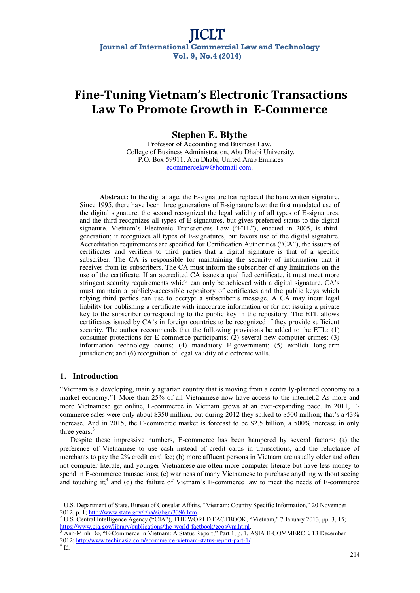# **Fine-Tuning Vietnam's Electronic Transactions Law To Promote Growth in E-Commerce**

# **Stephen E. Blythe**

Professor of Accounting and Business Law, College of Business Administration, Abu Dhabi University, P.O. Box 59911, Abu Dhabi, United Arab Emirates ecommercelaw@hotmail.com.

**Abstract:** In the digital age, the E-signature has replaced the handwritten signature. Since 1995, there have been three generations of E-signature law: the first mandated use of the digital signature, the second recognized the legal validity of all types of E-signatures, and the third recognizes all types of E-signatures, but gives preferred status to the digital signature. Vietnam's Electronic Transactions Law ("ETL"), enacted in 2005, is thirdgeneration; it recognizes all types of E-signatures, but favors use of the digital signature. Accreditation requirements are specified for Certification Authorities ("CA"), the issuers of certificates and verifiers to third parties that a digital signature is that of a specific subscriber. The CA is responsible for maintaining the security of information that it receives from its subscribers. The CA must inform the subscriber of any limitations on the use of the certificate. If an accredited CA issues a qualified certificate, it must meet more stringent security requirements which can only be achieved with a digital signature. CA's must maintain a publicly-accessible repository of certificates and the public keys which relying third parties can use to decrypt a subscriber's message. A CA may incur legal liability for publishing a certificate with inaccurate information or for not issuing a private key to the subscriber corresponding to the public key in the repository. The ETL allows certificates issued by  $CA$ 's in foreign countries to be recognized if they provide sufficient security. The author recommends that the following provisions be added to the ETL: (1) consumer protections for E-commerce participants; (2) several new computer crimes; (3) information technology courts; (4) mandatory E-government; (5) explicit long-arm jurisdiction; and (6) recognition of legal validity of electronic wills.

## **1. Introduction**

³Vietnam is a developing, mainly agrarian country that is moving from a centrally-planned economy to a market economy."1 More than 25% of all Vietnamese now have access to the internet.2 As more and more Vietnamese get online, E-commerce in Vietnam grows at an ever-expanding pace. In 2011, Ecommerce sales were only about \$350 million, but during 2012 they spiked to \$500 million; that's a  $43\%$ increase. And in 2015, the E-commerce market is forecast to be \$2.5 billion, a 500% increase in only three years.<sup>3</sup>

Despite these impressive numbers, E-commerce has been hampered by several factors: (a) the preference of Vietnamese to use cash instead of credit cards in transactions, and the reluctance of merchants to pay the 2% credit card fee; (b) more affluent persons in Vietnam are usually older and often not computer-literate, and younger Vietnamese are often more computer-literate but have less money to spend in E-commerce transactions; (c) wariness of many Vietnamese to purchase anything without seeing and touching it;<sup>4</sup> and (d) the failure of Vietnam's E-commerce law to meet the needs of E-commerce

 $1 \text{ U.S. Department of State, Bureau of Consultar Affairs, "Vietnam: Country Specific Information," 20 November$ 2012, p.  $1$ ; http://www.state.gov/r/pa/ei/bgn/3396.htm.

<sup>&</sup>lt;sup>2</sup> U.S. Central Intelligence Agency ("CIA"), THE WORLD FACTBOOK, "Vietnam," 7 January 2013, pp. 3, 15; https://www.cia.gov/library/publications/the-world-factbook/geos/vm.html.<br><sup>3</sup> Anh-Minh Do, "E-Commerce in Vietnam: A Status Report," Part 1, p. 1, ASIA E-COMMERCE, 13 December

<sup>2012;</sup> http://www.techinasia.com/ecommerce-vietnam-status-report-part-1/.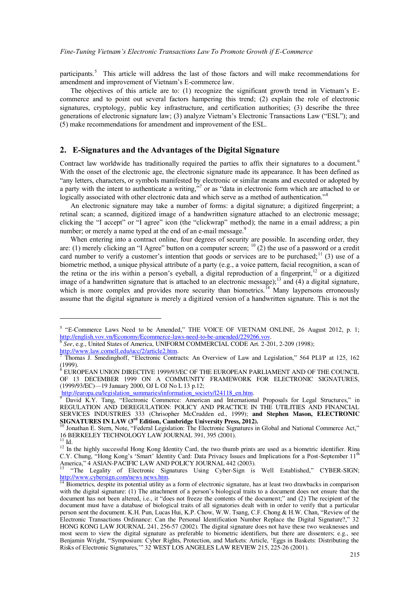participants.<sup>5</sup> This article will address the last of those factors and will make recommendations for amendment and improvement of Vietnam's E-commerce law.

The objectives of this article are to: (1) recognize the significant growth trend in Vietnam's  $E$ commerce and to point out several factors hampering this trend; (2) explain the role of electronic signatures, cryptology, public key infrastructure, and certification authorities; (3) describe the three generations of electronic signature law; (3) analyze Vietnam's Electronic Transactions Law ("ESL"); and (5) make recommendations for amendment and improvement of the ESL.

## **2. E-Signatures and the Advantages of the Digital Signature**

Contract law worldwide has traditionally required the parties to affix their signatures to a document.<sup>6</sup> With the onset of the electronic age, the electronic signature made its appearance. It has been defined as "any letters, characters, or symbols manifested by electronic or similar means and executed or adopted by a party with the intent to authenticate a writing,"<sup>7</sup> or as "data in electronic form which are attached to or logically associated with other electronic data and which serve as a method of authentication."<sup>8</sup>

An electronic signature may take a number of forms: a digital signature; a digitized fingerprint; a retinal scan; a scanned, digitized image of a handwritten signature attached to an electronic message; clicking the "I accept" or "I agree" icon (the "clickwrap" method); the name in a email address; a pin number; or merely a name typed at the end of an e-mail message.<sup>9</sup>

When entering into a contract online, four degrees of security are possible. In ascending order, they are: (1) merely clicking an "I Agree" button on a computer screen;  $^{10}$  (2) the use of a password or a credit card number to verify a customer's intention that goods or services are to be purchased;<sup>11</sup> (3) use of a biometric method, a unique physical attribute of a party (e.g., a voice pattern, facial recognition, a scan of the retina or the iris within a person's eyeball, a digital reproduction of a fingerprint,  $12$  or a digitized image of a handwritten signature that is attached to an electronic message);<sup>13</sup> and (4) a digital signature, which is more complex and provides more security than biometrics.<sup>14</sup> Many laypersons erroneously assume that the digital signature is merely a digitized version of a handwritten signature. This is not the

 $5$  "E-Commerce Laws Need to be Amended," THE VOICE OF VIETNAM ONLINE, 26 August 2012, p. 1; http://english.vov.vn/Economy/Ecommerce-laws-need-to-be-amended/229266.vov. 6 *See*, e.g., United States of America, UNIFORM COMMERCIAL CODE Art. 2-201, 2-209 (1998);

http://www.law.cornell.edu/ucc/2/article2.htm.<br>7 Thomas J. Smodingboff. "Electronic Control

Thomas J. Smedinghoff, "Electronic Contracts: An Overview of Law and Legislation," 564 PLI/P at 125, 162 (1999). 8

EUROPEAN UNION DIRECTIVE 1999/93/EC OF THE EUROPEAN PARLIAMENT AND OF THE COUNCIL OF 13 DECEMBER 1999 ON A COMMUNITY FRAMEWORK FOR ELECTRONIC SIGNATURES, (1999/93/EC)-19 January 2000, OJ L OJ No L 13 p.12;

http://europa.eu/legislation\_summaries/information\_society/l24118\_en.htm.

David K.Y. Tang, "Electronic Commerce: American and International Proposals for Legal Structures," in REGULATION AND DEREGULATION: POLICY AND PRACTICE IN THE UTILITIES AND FINANCIAL SERVICES INDUSTRIES 333 (Chrisopher McCrudden ed., 1999); **and Stephen Mason, ELECTRONIC SIGNATURES IN LAW (3<sup>rd</sup> Edition, Cambridge University Press, 2012).** 

Jonathan E. Stern, Note, "Federal Legislation: The Electronic Signatures in Global and National Commerce Act," 16 BERKELEY TECHNOLOGY LAW JOURNAL 391, 395 (2001).

 $^{11}$  Id.

<sup>&</sup>lt;sup>12</sup> In the highly successful Hong Kong Identity Card, the two thumb prints are used as a biometric identifier. Rina C.Y. Chung, "Hong Kong's 'Smart' Identity Card: Data Privacy Issues and Implications for a Post-September 11<sup>th</sup> America," 4 ASIAN-PACIFIC LAW AND POLICY JOURNAL 442 (2003).

<sup>&</sup>quot;The Legality of Electronic Signatures Using Cyber-Sign is Well Established," CYBER-SIGN; http://www.cybersign.com/news news.htm.

 $\frac{14}{14}$  Biometrics, despite its potential utility as a form of electronic signature, has at least two drawbacks in comparison with the digital signature: (1) The attachment of a person's biological traits to a document does not ensure that the document has not been altered, i.e., it "does not freeze the contents of the document;" and (2) The recipient of the document must have a database of biological traits of all signatories dealt with in order to verify that a particular person sent the document. K.H. Pun, Lucas Hui, K.P. Chow, W.W. Tsang, C.F. Chong & H.W. Chan, "Review of the Electronic Transactions Ordinance: Can the Personal Identification Number Replace the Digital Signature?," 32 HONG KONG LAW JOURNAL 241, 256-57 (2002). The digital signature does not have these two weaknesses and most seem to view the digital signature as preferable to biometric identifiers, but there are dissenters; e.g., see Benjamin Wright, "Symposium: Cyber Rights, Protection, and Markets: Article, 'Eggs in Baskets: Distributing the Risks of Electronic Signatures," 32 WEST LOS ANGELES LAW REVIEW 215, 225-26 (2001).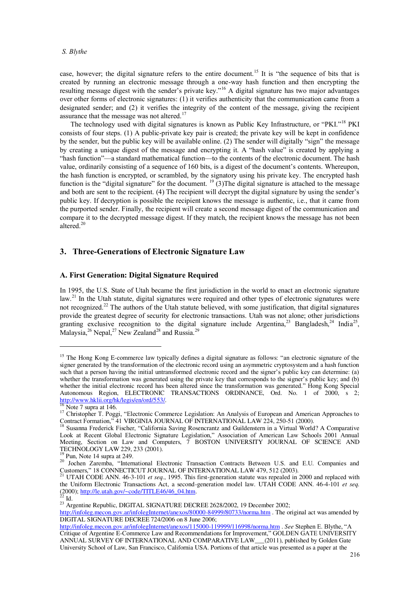case, however; the digital signature refers to the entire document.<sup>15</sup> It is "the sequence of bits that is created by running an electronic message through a one-way hash function and then encrypting the resulting message digest with the sender's private key."<sup>16</sup> A digital signature has two major advantages over other forms of electronic signatures: (1) it verifies authenticity that the communication came from a designated sender; and (2) it verifies the integrity of the content of the message, giving the recipient assurance that the message was not altered.<sup>17</sup>

The technology used with digital signatures is known as Public Key Infrastructure, or "PKI."<sup>18</sup> PKI consists of four steps. (1) A public-private key pair is created; the private key will be kept in confidence by the sender, but the public key will be available online. (2) The sender will digitally "sign" the message by creating a unique digest of the message and encrypting it. A "hash value" is created by applying a "hash function"—a standard mathematical function—to the contents of the electronic document. The hash value, ordinarily consisting of a sequence of 160 bits, is a digest of the document's contents. Whereupon, the hash function is encrypted, or scrambled, by the signatory using his private key. The encrypted hash function is the "digital signature" for the document. <sup>19</sup> (3) The digital signature is attached to the message and both are sent to the recipient. (4) The recipient will decrypt the digital signature by using the sender's public key. If decryption is possible the recipient knows the message is authentic, i.e., that it came from the purported sender. Finally, the recipient will create a second message digest of the communication and compare it to the decrypted message digest. If they match, the recipient knows the message has not been altered.<sup>20</sup>

# **3. Three-Generations of Electronic Signature Law**

## **A. First Generation: Digital Signature Required**

In 1995, the U.S. State of Utah became the first jurisdiction in the world to enact an electronic signature law.<sup>21</sup> In the Utah statute, digital signatures were required and other types of electronic signatures were not recognized.<sup>22</sup> The authors of the Utah statute believed, with some justification, that digital signatures provide the greatest degree of security for electronic transactions. Utah was not alone; other jurisdictions granting exclusive recognition to the digital signature include Argentina,<sup>23</sup> Bangladesh,<sup>24</sup> India<sup>25</sup>, Malaysia,  $^{26}$  Nepal,  $^{27}$  New Zealand<sup>28</sup> and Russia.<sup>29</sup>

 $^2$  Id.

<sup>&</sup>lt;sup>15</sup> The Hong Kong E-commerce law typically defines a digital signature as follows: "an electronic signature of the signer generated by the transformation of the electronic record using an asymmetric cryptosystem and a hash function such that a person having the initial untransformed electronic record and the signer's public key can determine: (a) whether the transformation was generated using the private key that corresponds to the signer's public key; and (b) whether the initial electronic record has been altered since the transformation was generated." Hong Kong Special Autonomous Region, ELECTRONIC TRANSACTIONS ORDINANCE, Ord. No. 1 of 2000, s 2; http://www.hklii.org/hk/legis/en/ord/553/.

Note 7 supra at 146.

<sup>&</sup>lt;sup>17</sup> Christopher T. Poggi, "Electronic Commerce Legislation: An Analysis of European and American Approaches to Contract Formation," 41 VIRGINIA JOURNAL OF INTERNATIONAL LAW 224, 250-51 (2000).

Susanna Frederick Fischer, "California Saving Rosencrantz and Guildenstern in a Virtual World? A Comparative Look at Recent Global Electronic Signature Legislation," Association of American Law Schools 2001 Annual Meeting, Section on Law and Computers, 7 BOSTON UNIVERSITY JOURNAL OF SCIENCE AND TECHNOLOGY LAW 229, 233 (2001).

<sup>&</sup>lt;sup>19</sup> Pun, Note 14 supra at 249.

<sup>&</sup>lt;sup>20</sup> Jochen Zaremba, "International Electronic Transaction Contracts Between U.S. and E.U. Companies and Customers," 18 CONNECTICUT JOURNAL OF INTERNATIONAL LAW 479, 512 (2003).

<sup>21</sup> UTAH CODE ANN. 46-3-101 *et seq.*, 1995. This first-generation statute was repealed in 2000 and replaced with the Uniform Electronic Transactions Act, a second-generation model law. UTAH CODE ANN. 46-4-101 *et seq.*  $(2000)$ ; http://le.utah.gov/~code/TITLE46/46\_04.htm.

<sup>&</sup>lt;sup>23</sup> Argentine Republic, DIGITAL SIGNATURE DECREE 2628/2002, 19 December 2002;

http://infoleg.mecon.gov.ar/infolegInternet/anexos/80000-84999/80733/norma.htm . The original act was amended by DIGITAL SIGNATURE DECREE 724/2006 on 8 June 2006;

http://infoleg.mecon.gov.ar/infolegInternet/anexos/115000-119999/116998/norma.htm . *See* Stephen E. Blythe, "A Critique of Argentine E-Commerce Law and Recommendations for Improvement," GOLDEN GATE UNIVERSITY ANNUAL SURVEY OF INTERNATIONAL AND COMPARATIVE LAW\_\_\_(2011), published by Golden Gate University School of Law, San Francisco, California USA. Portions of that article was presented as a paper at the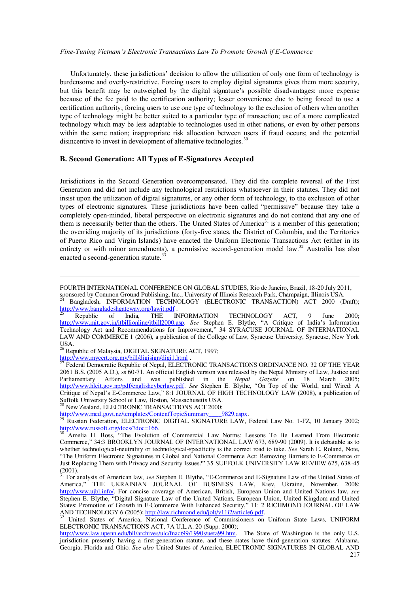#### *Fine-Tuning Vietnam's Electronic Transactions Law To Promote Growth if E-Commerce*

Unfortunately, these jurisdictions' decision to allow the utilization of only one form of technology is burdensome and overly-restrictive. Forcing users to employ digital signatures gives them more security, but this benefit may be outweighed by the digital signature's possible disadvantages: more expense because of the fee paid to the certification authority; lesser convenience due to being forced to use a certification authority; forcing users to use one type of technology to the exclusion of others when another type of technology might be better suited to a particular type of transaction; use of a more complicated technology which may be less adaptable to technologies used in other nations, or even by other persons within the same nation; inappropriate risk allocation between users if fraud occurs; and the potential disincentive to invest in development of alternative technologies.<sup>30</sup>

#### **B. Second Generation: All Types of E-Signatures Accepted**

Jurisdictions in the Second Generation overcompensated. They did the complete reversal of the First Generation and did not include any technological restrictions whatsoever in their statutes. They did not insist upon the utilization of digital signatures, or any other form of technology, to the exclusion of other types of electronic signatures. These jurisdictions have been called "permissive" because they take a completely open-minded, liberal perspective on electronic signatures and do not contend that any one of them is necessarily better than the others. The United States of America<sup>31</sup> is a member of this generation; the overriding majority of its jurisdictions (forty-five states, the District of Columbia, and the Territories of Puerto Rico and Virgin Islands) have enacted the Uniform Electronic Transactions Act (either in its entirety or with minor amendments), a permissive second-generation model law.<sup>32</sup> Australia has also enacted a second-generation statute.<sup>33</sup>

 $\overline{a}$ 

<sup>26</sup> Republic of Malaysia, DIGITAL SIGNATURE ACT, 1997;

http://www.mycert.org.my/bill/digisign/digi1.html .

<sup>27</sup> Federal Democratic Republic of Nepal, ELECTRONIC TRANSACTIONS ORDINANCE NO. 32 OF THE YEAR 2061 B.S. (2005 A.D.), ss 60-71. An official English version was released by the Nepal Ministry of Law, Justice and Parliamentary Affairs and was published in the *Nepal Gazette* on 18 March 2005; http://www.hlcit.gov.np/pdf/englishcyberlaw.pdf. *See* Stephen E. Blythe, "On Top of the World, and Wired: A  $Critique$  of Nepal's E-Commerce Law," 8:1 JOURNAL OF HIGH TECHNOLOGY LAW (2008), a publication of Suffolk University School of Law, Boston, Massachusetts USA.

New Zealand, ELECTRONIC TRANSACTIONS ACT 2000;<br>tn://www.med.govt.nz/templates/ContentTopicSummary 9829.aspx.

http://www.med.govt.nz/templates/ContentTopicSummary

FOURTH INTERNATIONAL CONFERENCE ON GLOBAL STUDIES, Rio de Janeiro, Brazil, 18-20 July 2011,

sponsored by Common Ground Publishing, Inc., University of Illinois Research Park, Champaign, Illinois USA. <sup>24</sup> Bangladesh, INFORMATION TECHNOLOGY (ELECTRONIC TRANSACTION) ACT 2000 (Draft);

http://www.bangladeshgateway.org/lawit.pdf

Republic of India, THE INFORMATION TECHNOLOGY ACT, 9 June 2000; http://www.mit.gov.in/itbillionline/itbill2000.asp. See Stephen E. Blythe, "A Critique of India's Information Technology Act and Recommendations for Improvement," 34 SYRACUSE JOURNAL OF INTERNATIONAL LAW AND COMMERCE 1 (2006), a publication of the College of Law, Syracuse University, Syracuse, New York USA.

<sup>29</sup> Russian Federation, ELECTRONIC DIGITAL SIGNATURE LAW, Federal Law No. 1-FZ, 10 January 2002; http://www.russoft.org/docs/?doc=166.

Amelia H. Boss, "The Evolution of Commercial Law Norms: Lessons To Be Learned From Electronic Commerce," 34:3 BROOKLYN JOURNAL OF INTERNATIONAL LAW 673, 689-90 (2009). It is debatable as to whether technological-neutrality or technological-specificity is the correct road to take. *See* Sarah E. Roland, Note, "The Uniform Electronic Signatures in Global and National Commerce Act: Removing Barriers to E-Commerce or Just Replacing Them with Privacy and Security Issues?" 35 SUFFOLK UNIVERSITY LAW REVIEW 625, 638-45  $(2001)$ .

For analysis of American law, see Stephen E. Blythe, "E-Commerce and E-Signature Law of the United States of America," THE UKRAINIAN JOURNAL OF BUSINESS LAW, Kiev, Ukraine, November, 2008; http://www.ujbl.info/. For concise coverage of American, British, European Union and United Nations law, *see* Stephen E. Blythe. "Digital Signature Law of the United Nations. European Union. United Kingdom and United States: Promotion of Growth in E-Commerce With Enhanced Security," 11: 2 RICHMOND JOURNAL OF LAW AND TECHNOLOGY 6 (2005); http://law.richmond.edu/jolt/v11i2/article6.pdf.

<sup>32</sup> United States of America, National Conference of Commissioners on Uniform State Laws, UNIFORM ELECTRONIC TRANSACTIONS ACT, 7A U.L.A. 20 (Supp. 2000);

http://www.law.upenn.edu/bll/archives/ulc/fnact99/1990s/ueta99.htm. The State of Washington is the only U.S. jurisdiction presently having a first-generation statute, and these states have third-generation statutes: Alabama, Georgia, Florida and Ohio. *See also* United States of America, ELECTRONIC SIGNATURES IN GLOBAL AND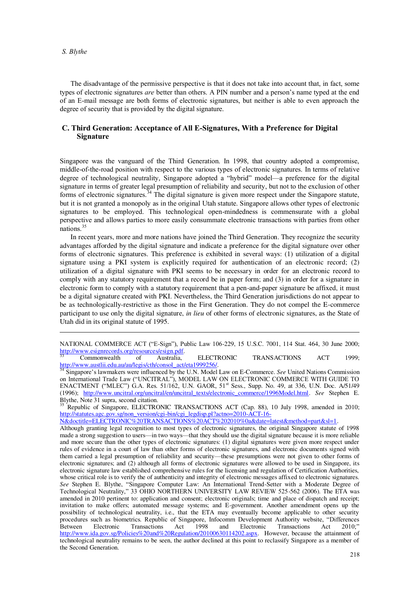$\overline{a}$ 

The disadvantage of the permissive perspective is that it does not take into account that, in fact, some types of electronic signatures *are* better than others. A PIN number and a person's name typed at the end of an E-mail message are both forms of electronic signatures, but neither is able to even approach the degree of security that is provided by the digital signature.

#### **C. Third Generation: Acceptance of All E-Signatures, With a Preference for Digital Signature**

Singapore was the vanguard of the Third Generation. In 1998, that country adopted a compromise, middle-of-the-road position with respect to the various types of electronic signatures. In terms of relative degree of technological neutrality, Singapore adopted a "hybrid" model—a preference for the digital signature in terms of greater legal presumption of reliability and security, but not to the exclusion of other forms of electronic signatures.<sup>34</sup> The digital signature is given more respect under the Singapore statute, but it is not granted a monopoly as in the original Utah statute. Singapore allows other types of electronic signatures to be employed. This technological open-mindedness is commensurate with a global perspective and allows parties to more easily consummate electronic transactions with parties from other nations<sup>35</sup>

In recent years, more and more nations have joined the Third Generation. They recognize the security advantages afforded by the digital signature and indicate a preference for the digital signature over other forms of electronic signatures. This preference is exhibited in several ways: (1) utilization of a digital signature using a PKI system is explicitly required for authentication of an electronic record; (2) utilization of a digital signature with PKI seems to be necessary in order for an electronic record to comply with any statutory requirement that a record be in paper form; and (3) in order for a signature in electronic form to comply with a statutory requirement that a pen-and-paper signature be affixed, it must be a digital signature created with PKI. Nevertheless, the Third Generation jurisdictions do not appear to be as technologically-restrictive as those in the First Generation. They do not compel the E-commerce participant to use only the digital signature, *in lieu* of other forms of electronic signatures, as the State of Utah did in its original statute of 1995.

NATIONAL COMMERCE ACT ("E-Sign"), Public Law 106-229, 15 U.S.C. 7001, 114 Stat. 464, 30 June 2000; http://www.esignrecords.org/resources/esign.pdf.<br>
Commonwealth of Australia.

<sup>33</sup> Commonwealth of Australia, ELECTRONIC TRANSACTIONS ACT 1999; http://www.austlii.edu.au/au/legis/cth/consol\_act/eta1999256/.

Singapore's lawmakers were influenced by the U.N. Model Law on E-Commerce. *See* United Nations Commission on International Trade Law ("UNCITRAL"), MODEL LAW ON ELECTRONIC COMMERCE WITH GUIDE TO ENACTMENT ("MLEC")  $G.A.$  Res. 51/162, U.N. GAOR, 51<sup>st</sup> Sess., Supp. No. 49, at 336, U.N. Doc. A/51/49 (1996); http://www.uncitral.org/uncitral/en/uncitral\_texts/electronic\_commerce/1996Model.html. *See* Stephen E. Blythe, Note 31 supra, second citation.

<sup>35</sup> Republic of Singapore, ELECTRONIC TRANSACTIONS ACT (Cap. 88), 10 July 1998, amended in 2010; http://statutes.agc.gov.sg/non\_version/cgi-bin/cgi\_legdisp.pl?actno=2010-ACT-16-

N&doctitle=ELECTRONIC%20TRANSACTIONS%20ACT%202010%0a&date=latest&method=part&sl=1.

Although granting legal recognition to most types of electronic signatures, the original Singapore statute of 1998 made a strong suggestion to users—in two ways—that they should use the digital signature because it is more reliable and more secure than the other types of electronic signatures: (1) digital signatures were given more respect under rules of evidence in a court of law than other forms of electronic signatures, and electronic documents signed with them carried a legal presumption of reliability and security—these presumptions were not given to other forms of electronic signatures; and (2) although all forms of electronic signatures were allowed to be used in Singapore, its electronic signature law established comprehensive rules for the licensing and regulation of Certification Authorities, whose critical role is to verify the of authenticity and integrity of electronic messages affixed to electronic signatures. *See* Stephen E. Blythe, "Singapore Computer Law: An International Trend-Setter with a Moderate Degree of Technological Neutrality," 33 OHIO NORTHERN UNIVERSITY LAW REVIEW 525-562 (2006). The ETA was amended in 2010 pertinent to: application and consent; electronic originals; time and place of dispatch and receipt; invitation to make offers; automated message systems; and E-government. Another amendment opens up the possibility of technological neutrality, i.e., that the ETA may eventually become applicable to other security procedures such as biometrics. Republic of Singapore, Infocomm Development Authority website, "Differences Between Electronic Transactions Act 1998 and Electronic Transactions Act 2010:" Between Electronic Transactions Act 1998 and Electronic Transactions Act 2010; http://www.ida.gov.sg/Policies%20and%20Regulation/20100630114202.aspx. However, because the attainment of technological neutrality remains to be seen, the author declined at this point to reclassify Singapore as a member of the Second Generation.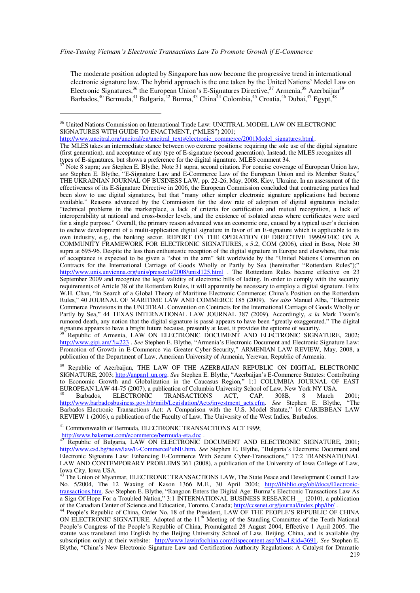The moderate position adopted by Singapore has now become the progressive trend in international electronic signature law. The hybrid approach is the one taken by the United Nations' Model Law on Electronic Signatures,<sup>36</sup> the European Union's E-Signatures Directive,<sup>37</sup> Armenia,<sup>38</sup> Azerbaijan<sup>39</sup><br>Barbados,<sup>40</sup> Bermuda,<sup>41</sup> Bulgaria,<sup>42</sup> Burma,<sup>43</sup> China<sup>44</sup> Colombia,<sup>45</sup> Croatia,<sup>46</sup> Dubai,<sup>47</sup> Egypt,<sup>48</sup>

http://www.uncitral.org/uncitral/en/uncitral\_texts/electronic\_commerce/2001Model\_signatures.html. The MLES takes an intermediate stance between two extreme positions: requiring the sole use of the digital signature (first generation), and acceptance of any type of E-signature (second generation). Instead, the MLES recognizes all types of E-signatures, but shows a preference for the digital signature. MLES comment 34.

Note 8 supra; see Stephen E. Blythe, Note 31 supra, second citation. For concise coverage of European Union law, see Stephen E. Blythe, "E-Signature Law and E-Commerce Law of the European Union and its Member States," THE UKRAINIAN JOURNAL OF BUSINESS LAW, pp. 22-26, May, 2008, Kiev, Ukraine. In an assessment of the effectiveness of its E-Signature Directive in 2006, the European Commission concluded that contracting parties had been slow to use digital signatures, but that "many other simpler electronic signature applications had become available." Reasons advanced by the Commission for the slow rate of adoption of digital signatures include: "technical problems in the marketplace, a lack of criteria for certification and mutual recognition, a lack of interoperability at national and cross-border levels, and the existence of isolated areas where certificates were used for a single purpose." Overall, the primary reason advanced was an economic one, caused by a typical user's decision to eschew development of a multi-application digital signature in favor of an E-signature which is applicable to its own industry, e.g., the banking sector. REPORT ON THE OPERATION OF DIRECTIVE 1999/93/EC ON A COMMUNITY FRAMEWORK FOR ELECTRONIC SIGNATURES, s 5.2, COM (2006), cited in Boss, Note 30 supra at 695-96. Despite the less than enthusiastic reception of the digital signature in Europe and elsewhere, that rate of acceptance is expected to be given a "shot in the arm" felt worldwide by the "United Nations Convention on Contracts for the International Carriage of Goods Wholly or Partly by Sea (hereinafter "Rotterdam Rules");" http://www.unis.unvienna.org/unis/pressrels/2008/unisl125.html The Rotterdam Rules became effective on 23 September 2009 and recognize the legal validity of electronic bills of lading. In order to comply with the security requirements of Article 38 of the Rotterdam Rules, it will apparently be necessary to employ a digital signature. Felix W.H. Chan, "In Search of a Global Theory of Maritime Electronic Commerce: China's Position on the Rotterdam Rules," 40 JOURNAL OF MARITIME LAW AND COMMERCE 185 (2009). See also Manuel Alba, "Electronic Commerce Provisions in the UNCITRAL Convention on Contracts for the International Carriage of Goods Wholly or Partly by Sea." 44 TEXAS INTERNATIONAL LAW JOURNAL 387 (2009). Accordingly, a la Mark Twain's rumored death, any notion that the digital signature is passé appears to have been "greatly exaggerated." The digital signature appears to have a bright future because, presently at least, it provides the epitome of security.

Republic of Armenia, LAW ON ELECTRONIC DOCUMENT AND ELECTRONIC SIGNATURE, 2002; http://www.gipi.am/?i=223. See Stephen E. Blythe, "Armenia's Electronic Document and Electronic Signature Law: Promotion of Growth in E-Commerce via Greater Cyber-Security," ARMENIAN LAW REVIEW, May, 2008, a publication of the Department of Law, American University of Armenia, Yerevan, Republic of Armenia.

<sup>39</sup> Republic of Azerbaijan, THE LAW OF THE AZERBAIJAN REPUBLIC ON DIGITAL ELECTRONIC SIGNATURE, 2003; http://unpan1.un.org. See Stephen E. Blythe, "Azerbaijan's E-Commerce Statutes: Contributing to Economic Growth and Globalization in the Caucasus Region," 1:1 COLUMBIA JOURNAL OF EAST EUROPEAN LAW 44-75 (2007), a publication of Columbia University School of Law, New York NY USA.

Barbados. **ELECTRONIC TRANSACTIONS** ACT. CAP. 308B. 8 March  $2001 -$ "The http://www.barbadosbusiness.gov.bb/miib/Legislation/Acts/investment acts.cfm. See Stephen E. Blythe, Barbados Electronic Transactions Act: A Comparison with the U.S. Model Statute." 16 CARIBBEAN LAW REVIEW 1 (2006), a publication of the Faculty of Law, The University of the West Indies, Barbados.

<sup>41</sup> Commonwealth of Bermuda, ELECTRONIC TRANSACTIONS ACT 1999;

http://www.bakernet.com/ecommerce/bermuda-eta.doc .<br><sup>42</sup> Republic of Bulgaria, LAW ON ELECTRONIC DOCUMENT AND ELECTRONIC SIGNATURE, 2001; http://www.csd.bg/news/law/E-CommercePublE.htm. See Stephen E. Blythe, "Bulgaria's Electronic Document and Electronic Signature Law: Enhancing E-Commerce With Secure Cyber-Transactions," 17:2 TRANSNATIONAL LAW AND CONTEMPORARY PROBLEMS 361 (2008), a publication of the University of Iowa College of Law,

Iowa City, Iowa USA.<br><sup>43</sup> The Union of Myanmar, ELECTRONIC TRANSACTIONS LAW, The State Peace and Development Council Law No. 5/2004, The 12 Waxing of Kason 1366 M.E., 30 April 2004; http://ibiblio.org/obl/docs/Electronictransactions.htm. See Stephen E. Blythe, "Rangoon Enters the Digital Age: Burma's Electronic Transactions Law As<br>a Sign Of Hope For a Troubled Nation," 3:1 INTERNATIONAL BUSINESS RESEARCH (2010), a publication of the Canadian Center of Science and Education, Toronto, Canada; http://ccsenet.org/journal/index.php/ibr.

<sup>44</sup> People's Republic of China, Order No. 18 of the President, LAW OF THE PEOPLE'S REPUBLIC OF CHINA ON ELECTRONIC SIGNATURE, Adopted at the 11<sup>th</sup> Meeting of the Standing Committee of the Tenth National People's Congress of the People's Republic of China, Promulgated 28 August 2004, Effective 1 April 2005. The statute was translated into English by the Beijing University School of Law, Beijing, China, and is available (by subscription only) at their website: http://www.lawinfochina.com/dispecontent.asp?db=1&id=3691. See Stephen E. Blythe, "China's New Electronic Signature Law and Certification Authority Regulations: A Catalyst for Dramatic

<sup>&</sup>lt;sup>36</sup> United Nations Commission on International Trade Law: UNCITRAL MODEL LAW ON ELECTRONIC SIGNATURES WITH GUIDE TO ENACTMENT, ("MLES") 2001;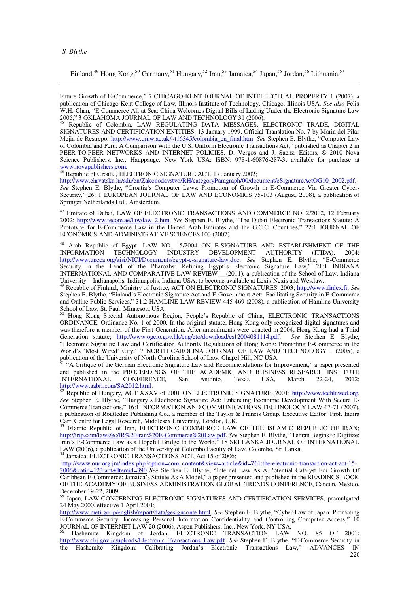Finland,<sup>49</sup> Hong Kong,<sup>50</sup> Germany,<sup>51</sup> Hungary,<sup>52</sup> Iran,<sup>53</sup> Jamaica,<sup>54</sup> Japan,<sup>55</sup> Jordan,<sup>56</sup> Lithuania,<sup>57</sup>

Future Growth of E-Commerce," 7 CHICAGO-KENT JOURNAL OF INTELLECTUAL PROPERTY 1 (2007), a publication of Chicago-Kent College of Law, Illinois Institute of Technology, Chicago, Illinois USA. See also Felix W.H. Chan, "E-Commerce All at Sea: China Welcomes Digital Bills of Lading Under the Electronic Signature Law 2005," 3 OKLAHOMA JOURNAL OF LAW AND TECHNOLOGY 31 (2006).<br>
<sup>45</sup> Republic of Colombia, LAW REGULATING DATA MESSAGES, ELECTRONIC TRADE, DIGITAL

SIGNATURES AND CERTIFICATION ENTITIES, 13 January 1999, Official Translation No. 7 by Maria del Pilar Mejia de Restrepo; http://www.qmw.ac.uk/~t16345/colombia\_en\_final.htm. See Stephen E. Blythe, "Computer Law of Colombia and Peru: A Comparison With the U.S. Uniform Electronic Transactions Act," published as Chapter 2 in PEER-TO-PEER NETWORKS AND INTERNET POLICIES, D. Vergos and J. Saenz, Editors, © 2010 Nova Science Publishers, Inc., Hauppauge, New York USA; ISBN: 978-1-60876-287-3; available for purchase at www.novapublishers.com.<br>
<sup>46</sup> Republic of Croatia, ELECTRONIC SIGNATURE ACT, 17 January 2002;

http://www.ehrvatska.hr/sdu/en/Zakonodavstvo/RH/categoryParagraph/00/document/eSignatureActOG10\_2002.pdf. See Stephen E. Blythe, "Croatia's Computer Laws: Promotion of Growth in E-Commerce Via Greater Cyber-Security," 26: 1 EUROPEAN JOURNAL OF LAW AND ECONOMICS 75-103 (August, 2008), a publication of Springer Netherlands Ltd., Amsterdam.

<sup>47</sup> Emirate of Dubai, LAW OF ELECTRONIC TRANSACTIONS AND COMMERCE NO. 2/2002, 12 February 2002; http://www.tecom.ae/law/law\_2.htm. See Stephen E. Blythe, "The Dubai Electronic Transactions Statute: A Prototype for E-Commerce Law in the United Arab Emirates and the G.C.C. Countries," 22:1 JOURNAL OF ECONOMICS AND ADMINISTRATIVE SCIENCES 103 (2007).

Arab Republic of Egypt, LAW NO. 15/2004 ON E-SIGNATURE AND ESTABLISHMENT OF THE FORMATION TECHNOLOGY INDUSTRY DEVELOPMENT AUTHORITY (ITIDA), 2004; **INFORMATION** http://www.uneca.org/aisi/NICI/Documents/egypt-e-signature-law.doc. See Stephen E. Blythe, "E-Commerce Security in the Land of the Pharoahs: Refining Egypt's Electronic Signature Law," 21:1 INDIANA INTERNATIONAL AND COMPARATIVE LAW REVIEW \_(2011), a publication of the School of Law, Indiana University—Indianapolis, Indianapolis, Indiana USA; to become available at Lexis-Nexis and Westlaw.

<sup>49</sup> Republic of Finland, Ministry of Justice, ACT ON ELECTRONIC SIGNATURES, 2003; http://www.finlex.fi. See Stephen E. Blythe, "Finland's Electronic Signature Act and E-Government Act: Facilitating Security in E-Commerce and Online Public Services," 31:2 HAMLINE LAW REVIEW 445-469 (2008), a publication of Hamline University School of Law, St. Paul, Minnesota USA.

Hong Kong Special Autonomous Region, People's Republic of China, ELECTRONIC TRANSACTIONS ORDINANCE, Ordinance No. 1 of 2000. In the original statute, Hong Kong only recognized digital signatures and was therefore a member of the First Generation. After amendments were enacted in 2004, Hong Kong had a Third Generation statute; http://www.ogcio.gov.hk/eng/eto/download/es12004081114.pdf. See Stephen E. Blythe, "Electronic Signature Law and Certification Authority Regulations of Hong Kong: Promoting E-Commerce in the World's 'Most Wired' City," 7 NORTH CAROLINA JOURNAL OF LAW AND TECHNOLOGY 1 (2005), a publication of the University of North Carolina School of Law, Chapel Hill, NC USA.

"A Critique of the German Electronic Signature Law and Recommendations for Improvement," a paper presented and published in the PROCEEDINGS OF THE ACADEMIC AND BUSINESS RESEARCH INSTITUTE **INTERNATIONAL** CONFERENCE, San Antonio, Texas USA, March  $22 - 24$ , 2012: http://www.aabri.com/SA2012.html.<br>
<sup>52</sup> Republic of Hungary, ACT XXXV of 2001 ON ELECTRONIC SIGNATURE, 2001; http://www.techlawed.org.

See Stephen E. Blythe, "Hungary's Electronic Signature Act: Enhancing Economic Development With Secure E-<br>Commerce Transactions," 16:1 INFORMATION AND COMMUNICATIONS TECHNOLOGY LAW 47-71 (2007), a publication of Routledge Publishing Co., a member of the Taylor & Francis Group. Executive Editor: Prof. Indira Carr, Centre for Legal Research, Middlesex University, London, U.K.

Islamic Republic of Iran, ELECTRONIC COMMERCE LAW OF THE ISLAMIC REPUBLIC OF IRAN; http://irtp.com/laws/ec/IR%20Iran%20E-Commerce%20Law.pdf. See Stephen E. Blythe, "Tehran Begins to Digitize:<br>Iran's E-Commerce Law as a Hopeful Bridge to the World," 18 SRI LANKA JOURNAL OF INTERNATIONAL LAW (2006), a publication of the University of Colombo Faculty of Law, Colombo, Sri Lanka.<br><sup>54</sup> Jamaica, ELECTRONIC TRANSACTIONS ACT, Act 15 of 2006;

http://www.our.org.jm/index.php?option=com\_content&view=article&id=761:the-electronic-transaction-act-act-15-2006&catid=123:act&Itemid=390 See Stephen E. Blythe, "Internet Law As A Potential Catalyst For Growth Of Caribbean E-Commerce: Jamaica's Statute As A Model," a paper presented and published in the READINGS BOOK OF THE ACADEMY OF BUSINESS ADMINISTRATION GLOBAL TRENDS CONFERENCE, Cancun, Mexico, December 19-22, 2009.

Japan, LAW CONCERNING ELECTRONIC SIGNATURES AND CERTIFICATION SERVICES, promulgated 24 May 2000, effective 1 April 2001;

http://www.meti.go.jp/english/report/data/gesignconte.html. See Stephen E. Blythe, "Cyber-Law of Japan: Promoting E-Commerce Security, Increasing Personal Information Confidentiality and Controlling Computer Access," 10 JOURNAL OF INTERNET LAW 20 (2006), Aspen Publishers, Inc., New York, NY USA.

Hashemite Kingdom of Jordan, ELECTRONIC TRANSACTION LAW NO. 85 OF 2001; http://www.cbj.gov.jo/uploads/Electronic Transactions Law.pdf. See Stephen E. Blythe, "E-Commerce Security in the Hashemite Kingdom: Calibrating Jordan's Electronic Transactions Law," ADVANCES  $\mathbb{N}$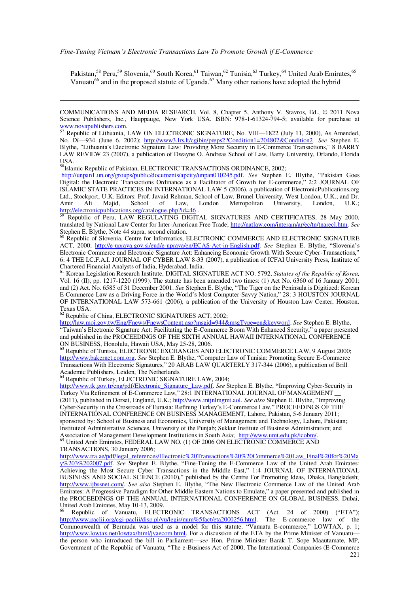Pakistan,<sup>58</sup> Peru,<sup>59</sup> Slovenia,<sup>60</sup> South Korea,<sup>61</sup> Taiwan,<sup>62</sup> Tunisia,<sup>63</sup> Turkey,<sup>64</sup> United Arab Emirates,<sup>65</sup> Vanuatu<sup>66</sup> and in the proposed statute of Uganda.<sup>67</sup> Many other nations have adopted the hybrid

58Islamic Republic of Pakistan, ELECTRONIC TRANSACTIONS ORDINANCE, 2002;

http://unpan1.un.org/groups/public/documents/apcity/unpan010245.pdf. See Stephen E. Blythe, "Pakistan Goes Digital: the Electronic Transactions Ordinance as a Facilitator of Growth for E-commerce," 2:2 JOURNAL OF ISLAMIC STATE PRACTICES IN INTERNATIONAL LAW 5 (2006), a publication of ElectronicPublications.org Ltd., Stockport, U.K. Editors: Prof. Javaid Rehman, School of Law, Brunel University, West London, U.K.; and Dr. Amir Ali Majid, School of Law, London Metropolitan University, London, U.K.; http://electronicpublications.org/catalogue.php?id=46.

<sup>59</sup> Republic of Peru, LAW REGULATING DIGITAL SIGNATURES AND CERTIFICATES, 28 May 2000, translated by National Law Center for Inter-American Free Trade; http://natlaw.com/interam/ar/ec/tn/tnarecl.htm. *See* Stephen E. Blythe, Note 44 supra, second citation.

<sup>60</sup> Republic of Slovenia, Centre for Informatics, ELECTRONIC COMMERCE AND ELECTRONIC SIGNATURE ACT, 2000; http://e-uprava.gov.si/eud/e-uprava/en/ECAS-Act-in-English.pdf. See Stephen E. Blythe, "Slovenia's Electronic Commerce and Electronic Signature Act: Enhancing Economic Growth With Secure Cyber-Transactions, 6: 4 THE I.C.F.A.I. JOURNAL OF CYBER LAW 8-33 (2007), a publication of ICFAI University Press, Institute of Chartered Financial Analysts of India, Hyderabad, India.

<sup>61</sup> Korean Legislation Research Institute, DIGITAL SIGNATURE ACT NO. 5792, *Statutes of the Republic of Korea,*  Vol. 16 (II), pp. 1217-1220 (1999). The statute has been amended two times: (1) Act No. 6360 of 16 January 2001; and (2) Act. No. 6585 of 31 December 2001. *See* Stephen E. Blythe, "The Tiger on the Peninsula is Digitized: Korean E-Commerce Law as a Driving Force in the World's Most Computer-Savvy Nation," 28: 3 HOUSTON JOURNAL OF INTERNATIONAL LAW 573-661 (2006), a publication of the University of Houston Law Center, Houston, Texas USA.

<sup>62</sup> Republic of China, ELECTRONIC SIGNATURES ACT, 2002;

http://law.moj.gov.tw/Eng/Fnews/FnewsContent.asp?msgid=944&msgType=en&keyword. *See* Stephen E. Blythe, "Taiwan's Electronic Signature Act: Facilitating the E-Commerce Boom With Enhanced Security," a paper presented and published in the PROCEEDINGS OF THE SIXTH ANNUAL HAWAII INTERNATIONAL CONFERENCE ON BUSINESS, Honolulu, Hawaii USA, May 25-28, 2006.

63 Republic of Tunisia, ELECTRONIC EXCHANGES AND ELECTRONIC COMMERCE LAW, 9 August 2000; http://www.bakernet.com.org. See Stephen E. Blythe, "Computer Law of Tunisia: Promoting Secure E-Commerce Transactions With Electronic Signatures," 20 ARAB LAW QUARTERLY 317-344 (2006), a publication of Brill Academic Publishers, Leiden, The Netherlands.

<sup>64</sup> Republic of Turkey, ELECTRONIC SIGNATURE LAW, 2004;

http://www.tk.gov.tr/eng/pdf/Electronic\_Signature\_Law.pdf. See Stephen E. Blythe, "Improving Cyber-Security in Turkey Via Refinement of E-Commerce Law," 28:1 INTERNATIONAL JOURNAL OF MANAGEMENT (2011), published in Dorset, England, U.K.; http://www.intjnlmgmt.aol. See also Stephen E. Blythe, "Improving Cyber-Security in the Crossroads of Eurasia: Refining Turkey's E-Commerce Law," PROCEEDINGS OF THE INTERNATIONAL CONFERENCE ON BUSINESS MANAGEMENT, Lahore, Pakistan, 5-6 January 2011; sponsored by: School of Business and Economics, University of Management and Technology, Lahore, Pakistan; Instituteof Administrative Sciences, University of the Punjab; Sukkur Institute of Business Administration; and Association of Management Development Institutions in South Asia; http://www.umt.edu.pk/icobm/. <sup>65</sup> United Arab Emirates, FEDERAL LAW NO. (1) OF 2006 ON ELECTRONIC COMMERCE AND

TRANSACTIONS, 30 January 2006;

 $\overline{a}$ 

http://www.tra.ae/pdf/legal\_references/Electronic%20Transactions%20%20Commerce%20Law\_Final%20for%20Ma y%203%202007.pdf. See Stephen E. Blythe, "Fine-Tuning the E-Commerce Law of the United Arab Emirates: Achieving the Most Secure Cyber Transactions in the Middle East," 1:4 JOURNAL OF INTERNATIONAL BUSINESS AND SOCIAL SCIENCE (2010)," published by the Centre For Promoting Ideas, Dhaka, Bangladesh; http://www.ijbssnet.com/. See also Stephen E. Blythe, "The New Electronic Commerce Law of the United Arab Emirates: A Progressive Paradigm for Other Middle Eastern Nations to Emulate," a paper presented and published in the PROCEEDINGS OF THE ANNUAL INTERNATIONAL CONFERENCE ON GLOBAL BUSINESS, Dubai, United Arab Emirates, May 10-13, 2009.

Republic of Vanuatu, ELECTRONIC TRANSACTIONS ACT (Act. 24 of 2000) ("ETA"); http://www.paclii.org/cgi-paclii/disp.pl/vu/legis/num%5fact/eta2000256.html. The E-commerce law of the Commonwealth of Bermuda was used as a model for this statute. "Vanuatu E-commerce," LOWTAX, p. 1; http://www.lowtax.net/lowtax/html/jvaecom.html. For a discussion of the ETA by the Prime Minister of Vanuatu the person who introduced the bill in Parliament—see Hon. Prime Minister Barak T. Sope Maautamate, MP, Government of the Republic of Vanuatu, "The e-Business Act of 2000, The International Companies (E-Commerce

COMMUNICATIONS AND MEDIA RESEARCH, Vol. 8, Chapter 5, Anthony V. Stavros, Ed., © 2011 Nova Science Publishers, Inc., Hauppauge, New York USA. ISBN: 978-1-61324-794-5; available for purchase at www.novapublishers.com.<br>
<sup>57</sup> Republic 25

Republic of Lithuania, LAW ON ELECTRONIC SIGNATURE, No. VIII-1822 (July 11, 2000), As Amended, No. IX-934 (June 6, 2002); http://www3.lrs.lt/cgibin/preps2?Condition1=204802&Condition2. See Stephen E. Blythe, "Lithuania's Electronic Signature Law: Providing More Security in E-Commerce Transactions," 8 BARRY LAW REVIEW 23 (2007), a publication of Dwayne O. Andreas School of Law, Barry University, Orlando, Florida USA.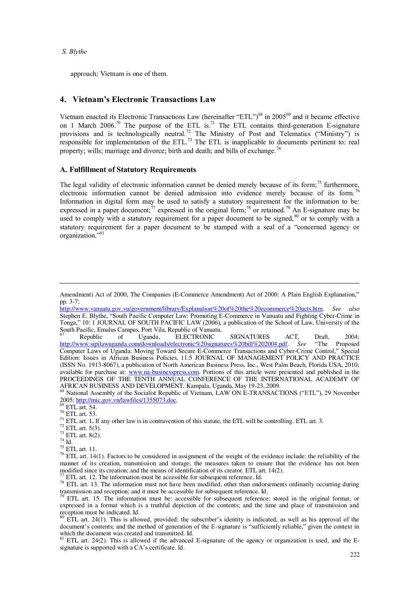approach; Vietnam is one of them.

## **4. Vietnam's Electronic Transactions Law**

Vietnam enacted its Electronic Transactions Law (hereinafter "ETL")<sup>68</sup> in 2005<sup>69</sup> and it became effective on 1 March 2006.<sup>70</sup> The purpose of the ETL is.<sup>71</sup> The ETL contains third-generation E-signature provisions and is technologically neutral.<sup>72</sup> The Ministry of Post and Telematics ("Ministry") is responsible for implementation of the ETL.<sup>73</sup> The ETL is inapplicable to documents pertinent to: real property; wills; marriage and divorce; birth and death; and bills of exchange.<sup>74</sup>

#### **A. Fulfillment of Statutory Requirements**

The legal validity of electronic information cannot be denied merely because of its form;<sup>75</sup> furthermore, electronic information cannot be denied admission into evidence merely because of its form.<sup>76</sup> Information in digital form may be used to satisfy a statutory requirement for the information to be: expressed in a paper document;<sup>77</sup> expressed in the original form;<sup>78</sup> or retained.<sup>79</sup> An E-signature may be used to comply with a statutory requirement for a paper document to be signed, $80$  or to comply with a statutory requirement for a paper document to be stamped with a seal of a "concerned agency or organization."<sup>81</sup>

 $69$  ETL art. 54.

 $72$  ETL art. 5(3).

 $73$  ETL art. 8(2).

 $^{74}$  Id.

 $\overline{a}$ 

 $^{75}$  ETL art. 11.

Amendment) Act of 2000, The Companies (E-Commerce Amendment) Act of 2000: A Plain English Explanation," pp. 3-7;

http://www.vanuatu.gov.vu/government/library/Explanation%20of%20the%20ecommerce%20acts.htm. *See also* Stephen E. Blythe, "South Pacific Computer Law: Promoting E-Commerce in Vanuatu and Fighting Cyber-Crime in  $T$ <sub>Dnea</sub>." 10: 1 JOURNAL OF SOUTH PACIFIC LAW (2006), a publication of the School of Law, University of the South Pacific, Emalus Campus, Port Vila, Republic of Vanuatu.<br>
<sup>67</sup> Republic of Uganda, ELECTRONIC

ELECTRONIC SIGNATURES ACT, Draft, 2004;<br>ectronic%20signatures%20bill%202004.pdf. See "The Proposed http://www.sipilawuganda.com/downloads/electronic%20signatures%20bill%202004.pdf. *See* Computer Laws of Uganda: Moving Toward Secure E-Commerce Transactions and Cyber-Crime Control," Special Edition: Issues in African Business Policies, 11:5 JOURNAL OF MANAGEMENT POLICY AND PRACTICE (ISSN No. 1913-8067), a publication of North American Business Press, Inc., West Palm Beach, Florida USA, 2010; available for purchase at: www.na-businesspress.com. Portions of this article were presented and published in the PROCEEDINGS OF THE TENTH ANNUAL CONFERENCE OF THE INTERNATIONAL ACADEMY OF AFRICAN BUSINESS AND DEVELOPMENT, Kampala, Uganda, May 19-23, 2009.

<sup>&</sup>lt;sup>68</sup> National Assembly of the Socialist Republic of Vietnam, LAW ON E-TRANSACTIONS ("ETL"), 29 November 2005; http://mic.gov.vn/lawfiles/1355073.doc.

 $70$  ETL art. 53.

<sup>&</sup>lt;sup>71</sup> ETL art. 1**.** If any other law is in contravention of this statute, the ETL will be controlling. ETL art. 3.

 $76$  ETL art. 14(1). Factors to be considered in assignment of the weight of the evidence include: the reliability of the manner of its creation, transmission and storage; the measures taken to ensure that the evidence has not been modified since its creation; and the means of identification of its creator. ETL art. 14(2). ETL art. 12. The information must be accessible for subsequent reference. Id.

<sup>&</sup>lt;sup>78</sup> ETL art. 13. The information must not have been modified, other than endorsements ordinarily occurring during transmission and reception; and it must be accessible for subsequent reference. Id.

<sup>79</sup> ETL art. 15. The information must be: accessible for subsequent reference; stored in the original format, or expressed in a format which is a truthful depiction of the contents; and the time and place of transmission and reception must be indicated. Id.

<sup>80</sup> ETL art. 24(1). This is allowed, provided: the subscriber's identity is indicated, as well as his approval of the document's contents; and the method of generation of the E-signature is "sufficiently reliable," given the context in which the document was created and transmitted. Id.

 $81$  ETL art. 24(2). This is allowed if the advanced E-signature of the agency or organization is used, and the Esignature is supported with a CA's certificate. Id.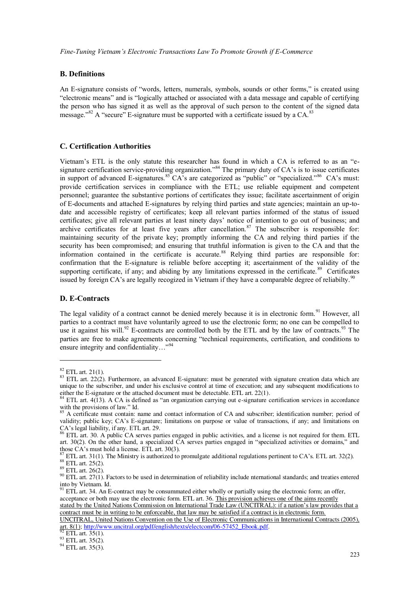## **B. Definitions**

An E-signature consists of "words, letters, numerals, symbols, sounds or other forms," is created using "electronic means" and is "logically attached or associated with a data message and capable of certifying the person who has signed it as well as the approval of such person to the content of the signed data message." $82$  A "secure" E-signature must be supported with a certificate issued by a CA.  $83$ 

#### **C. Certification Authorities**

Vietnam's ETL is the only statute this researcher has found in which a CA is referred to as an "esignature certification service-providing organization.<sup>584</sup> The primary duty of CA's is to issue certificates in support of advanced E-signatures.<sup>85</sup> CA's are categorized as "public" or "specialized."<sup>86</sup> CA's must: provide certification services in compliance with the ETL; use reliable equipment and competent personnel; guarantee the substantive portions of certificates they issue; facilitate ascertainment of origin of E-documents and attached E-signatures by relying third parties and state agencies; maintain an up-todate and accessible registry of certificates; keep all relevant parties informed of the status of issued certificates; give all relevant parties at least ninety days' notice of intention to go out of business; and archive certificates for at least five years after cancellation.<sup>87</sup> The subscriber is responsible for: maintaining security of the private key; promptly informing the CA and relying third parties if the security has been compromised; and ensuring that truthful information is given to the CA and that the information contained in the certificate is accurate.<sup>88</sup> Relying third parties are responsible for: confirmation that the E-signature is reliable before accepting it; ascertainment of the validity of the supporting certificate, if any; and abiding by any limitations expressed in the certificate.<sup>89</sup> Certificates issued by foreign CA's are legally recogized in Vietnam if they have a comparable degree of reliabilty.<sup>90</sup>

## **D. E-Contracts**

The legal validity of a contract cannot be denied merely because it is in electronic form.<sup>91</sup> However, all parties to a contract must have voluntarily agreed to use the electronic form; no one can be compelled to use it against his will.<sup>92</sup> E-contracts are controlled both by the ETL and by the law of contracts.<sup>93</sup> The parties are free to make agreements concerning "technical requirements, certification, and conditions to ensure integrity and confidentiality... $\cdot$ <sup>94</sup>

 $\overline{a}$ 

ETL art.  $35(1)$ .

 $^{94}$  ETL art. 35(3).

 $82$  ETL art. 21(1).

 $83$  ETL art. 22(2). Furthermore, an advanced E-signature: must be generated with signature creation data which are unique to the subscriber, and under his exclusive control at time of execution; and any subsequent modifications to either the E-signature or the attached document must be detectable. ETL art. 22(1).

 $84$  ETL art. 4(13). A CA is defined as "an organization carrying out e-signature certification services in accordance with the provisions of law." Id.

<sup>&</sup>lt;sup>85</sup> A certificate must contain: name and contact information of CA and subscriber; identification number; period of validity; public key; CA's E-signature; limitations on purpose or value of transactions, if any; and limitations on CA's legal liability, if any. ETL art. 29.

<sup>&</sup>lt;sup>86</sup> ETL art. 30. A public CA serves parties engaged in public activities, and a license is not required for them. ETL art. 30(2). On the other hand, a specialized CA serves parties engaged in "specialized activities or domains," and those CA's must hold a license. ETL art.  $30(3)$ .

ETL art. 31(1). The Ministry is authorized to promulgate additional regulations pertinent to  $CA$ 's. ETL art. 32(2).

 $88$  ETL art. 25(2).

<sup>89</sup> ETL art. 26(2).

 $^{90}$  ETL art. 27(1). Factors to be used in determination of reliability include nternational standards; and treaties entered into by Vietnam. Id.

 $91$  ETL art. 34. An E-contract may be consummated either wholly or partially using the electronic form; an offer, acceptance or both may use the electronic form. ETL art. 36. This provision achieves one of the aims recently stated by the United Nations Commission on International Trade Law (UNCITRAL): if a nation's law provides that a contract must be in writing to be enforceable, that law may be satisfied if a contract is in electronic form.

UNCITRAL, United Nations Convention on the Use of Electronic Communications in International Contracts (2005), art. 8(1); http://www.uncitral.org/pdf/english/texts/electcom/06-57452\_Ebook.pdf.

 $^{93}$  ETL art. 35(2).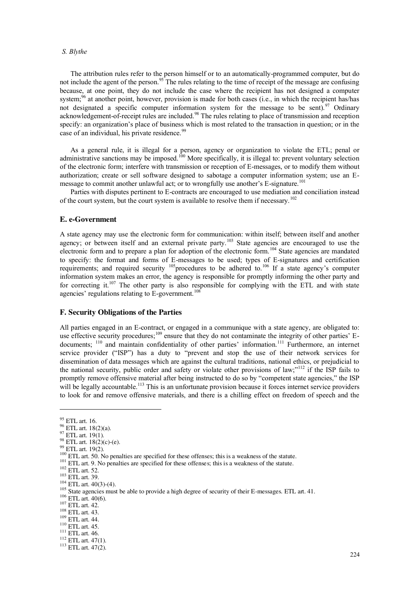The attribution rules refer to the person himself or to an automatically-programmed computer, but do not include the agent of the person.<sup>95</sup> The rules relating to the time of receipt of the message are confusing because, at one point, they do not include the case where the recipient has not designed a computer system;<sup>96</sup> at another point, however, provision is made for both cases (i.e., in which the recipient has/has not designated a specific computer information system for the message to be sent).<sup>97</sup> Ordinary acknowledgement-of-receipt rules are included.<sup>98</sup> The rules relating to place of transmission and reception specify: an organization's place of business which is most related to the transaction in question; or in the case of an individual, his private residence.<sup>99</sup>

As a general rule, it is illegal for a person, agency or organization to violate the ETL; penal or administrative sanctions may be imposed.<sup>100</sup> More specifically, it is illegal to: prevent voluntary selection of the electronic form; interfere with transmission or reception of E-messages, or to modify them without authorization; create or sell software designed to sabotage a computer information system; use an Emessage to commit another unlawful act; or to wrongfully use another's E-signature.<sup>101</sup>

Parties with disputes pertinent to E-contracts are encouraged to use mediation and conciliation instead of the court system, but the court system is available to resolve them if necessary.<sup>102</sup>

#### **E. e-Government**

A state agency may use the electronic form for communication: within itself; between itself and another agency; or between itself and an external private party.<sup>103</sup> State agencies are encouraged to use the electronic form and to prepare a plan for adoption of the electronic form.<sup>104</sup> State agencies are mandated to specify: the format and forms of E-messages to be used; types of E-signatures and certification requirements; and required security  $105$  procedures to be adhered to.<sup>106</sup> If a state agency's computer information system makes an error, the agency is responsible for promptly informing the other party and for correcting it.<sup>107</sup> The other party is also responsible for complying with the ETL and with state agencies' regulations relating to  $E$ -government.<sup>108</sup>

#### **F. Security Obligations of the Parties**

All parties engaged in an E-contract, or engaged in a communique with a state agency, are obligated to: use effective security procedures;<sup>109</sup> ensure that they do not contaminate the integrity of other parties' Edocuments; <sup>110</sup> and maintain confidentiality of other parties' information.<sup>111</sup> Furthermore, an internet service provider ("ISP") has a duty to "prevent and stop the use of their network services for dissemination of data messages which are against the cultural traditions, national ethics, or prejudicial to the national security, public order and safety or violate other provisions of law;"<sup>112</sup> if the ISP fails to promptly remove offensive material after being instructed to do so by "competent state agencies," the ISP will be legally accountable.<sup>113</sup> This is an unfortunate provision because it forces internet service providers to look for and remove offensive materials, and there is a chilling effect on freedom of speech and the

- $106$  ETL art.  $40(6)$ .
- $107$  ETL art. 42.
- $108$  ETL art. 43.
- <sup>109</sup> ETL art. 44. <sup>110</sup> ETL art. 45.
- $111$  ETL art. 46.
- $112$  ETL art. 47(1).

<sup>95</sup> ETL art. 16.

<sup>96</sup> ETL art. 18(2)(a).

 $97$  ETL art. 19(1).  $98$  ETL art. 18(2)(c)-(e).

<sup>99</sup> ETL art. 19(2).

 $100$  ETL art. 50. No penalties are specified for these offenses; this is a weakness of the statute. <sup>101</sup> ETL art. 9. No penalties are specified for these offenses; this is a weakness of the statute.

<sup>102</sup> ETL art. 52.

<sup>103</sup> ETL art. 39.

 $104$  ETL art. 40(3)-(4).

<sup>105</sup> State agencies must be able to provide a high degree of security of their E-messages. ETL art. 41.

 $113$  ETL art. 47(2).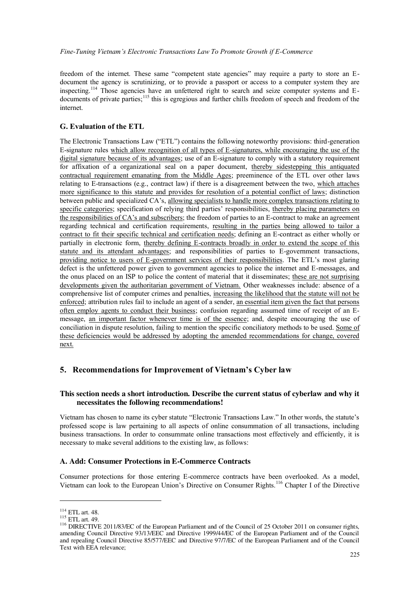freedom of the internet. These same "competent state agencies" may require a party to store an Edocument the agency is scrutinizing, or to provide a passport or access to a computer system they are inspecting.<sup>114</sup> Those agencies have an unfettered right to search and seize computer systems and Edocuments of private parties;<sup>115</sup> this is egregious and further chills freedom of speech and freedom of the internet.

## **G. Evaluation of the ETL**

The Electronic Transactions Law ("ETL") contains the following noteworthy provisions: third-generation E-signature rules which allow recognition of all types of E-signatures, while encouraging the use of the digital signature because of its advantages; use of an E-signature to comply with a statutory requirement for affixation of a organizational seal on a paper document, thereby sidestepping this antiquated contractual requirement emanating from the Middle Ages; preeminence of the ETL over other laws relating to E-transactions (e.g., contract law) if there is a disagreement between the two, which attaches more significance to this statute and provides for resolution of a potential conflict of laws; distinction between public and specialized CA's, allowing specialists to handle more complex transactions relating to specific categories; specification of relying third parties' responsibilities, thereby placing parameters on the responsibilities of CA's and subscribers; the freedom of parties to an E-contract to make an agreement regarding technical and certification requirements, resulting in the parties being allowed to tailor a contract to fit their specific technical and certification needs; defining an E-contract as either wholly or partially in electronic form, thereby defining E-contracts broadly in order to extend the scope of this statute and its attendant advantages; and responsibilities of parties to E-government transactions, providing notice to users of E-government services of their responsibilities. The ETL's most glaring defect is the unfettered power given to government agencies to police the internet and E-messages, and the onus placed on an ISP to police the content of material that it disseminates; these are not surprising developments given the authoritarian government of Vietnam. Other weaknesses include: absence of a comprehensive list of computer crimes and penalties, increasing the likelihood that the statute will not be enforced; attribution rules fail to include an agent of a sender, an essential item given the fact that persons often employ agents to conduct their business; confusion regarding assumed time of receipt of an Emessage, an important factor whenever time is of the essence; and, despite encouraging the use of conciliation in dispute resolution, failing to mention the specific conciliatory methods to be used. Some of these deficiencies would be addressed by adopting the amended recommendations for change, covered next.

## **5.** Recommendations for Improvement of Vietnam's Cyber law

## **This section needs a short introduction. Describe the current status of cyberlaw and why it necessitates the following recommendations!**

Vietnam has chosen to name its cyber statute "Electronic Transactions Law." In other words, the statute's professed scope is law pertaining to all aspects of online consummation of all transactions, including business transactions. In order to consummate online transactions most effectively and efficiently, it is necessary to make several additions to the existing law, as follows:

## **A. Add: Consumer Protections in E-Commerce Contracts**

Consumer protections for those entering E-commerce contracts have been overlooked. As a model, Vietnam can look to the European Union's Directive on Consumer Rights.<sup>116</sup> Chapter I of the Directive

<sup>114</sup> ETL art. 48.

 $115$  ETL art. 49.

<sup>&</sup>lt;sup>116</sup> DIRECTIVE 2011/83/EC of the European Parliament and of the Council of 25 October 2011 on consumer rights, amending Council Directive 93/13/EEC and Directive 1999/44/EC of the European Parliament and of the Council and repealing Council Directive 85/577/EEC and Directive 97/7/EC of the European Parliament and of the Council Text with EEA relevance;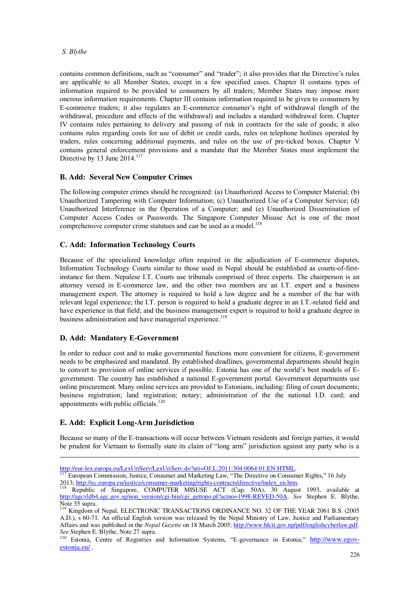contains common definitions, such as "consumer" and "trader"; it also provides that the Directive's rules are applicable to all Member States, except in a few specified cases. Chapter II contains types of information required to be provided to consumers by all traders; Member States may impose more onerous information requirements. Chapter III contains information required to be given to consumers by E-commerce traders; it also regulates an E-commerce consumer's right of withdrawal (length of the withdrawal, procedure and effects of the withdrawal) and includes a standard withdrawal form. Chapter IV contains rules pertaining to delivery and passing of risk in contracts for the sale of goods; it also contains rules regarding costs for use of debit or credit cards, rules on telephone hotlines operated by traders, rules concerning additional payments, and rules on the use of pre-ticked boxes. Chapter V contains general enforcement provisions and a mandate that the Member States must implement the Directive by 13 June 2014.<sup>117</sup>

# **B. Add: Several New Computer Crimes**

The following computer crimes should be recognized: (a) Unauthorized Access to Computer Material; (b) Unauthorized Tampering with Computer Information; (c) Unauthorized Use of a Computer Service; (d) Unauthorized Interference in the Operation of a Computer; and (e) Unauthorized Dissemination of Computer Access Codes or Passwords. The Singapore Computer Misuse Act is one of the most comprehensive computer crime statutues and can be used as a model.<sup>118</sup>

# **C. Add: Information Technology Courts**

Because of the specialized knowledge often required in the adjudication of E-commerce disputes, Information Technology Courts similar to those used in Nepal should be established as courts-of-firstinstance for them. Nepalese I.T. Courts use tribunals comprised of three experts. The chairperson is an attorney versed in E-commerce law, and the other two members are an I.T. expert and a business management expert. The attorney is required to hold a law degree and be a member of the bar with relevant legal experience; the I.T. person is required to hold a graduate degree in an I.T.-related field and have experience in that field; and the business management expert is required to hold a graduate degree in business administration and have managerial experience.<sup>119</sup>

## **D. Add: Mandatory E-Government**

In order to reduce cost and to make governmental functions more convenient for citizens, E-government needs to be emphasized and mandated. By established deadlines, governmental departments should begin to convert to provision of online services if possible. Estonia has one of the world's best models of Egovernment. The country has established a national E-government portal. Government departments use online procurement. Many online services are provided to Estonians, including: filing of court documents; business registration; land registration; notary; administration of the the national I.D. card; and appointments with public officials.<sup>120</sup>

# **E. Add: Explicit Long-Arm Jurisdiction**

 $\overline{a}$ 

Because so many of the E-transactions will occur between Vietnam residents and foreign parties, it would be prudent for Vietnam to formally state its claim of "long arm" jurisdiction against any party who is a

http://eur-lex.europa.eu/LexUriServ/LexUriServ.do?uri=OJ:L:2011:304:0064:01:EN:HTML.

 $117$  European Commission, Justice, Consumer and Marketing Law, "The Directive on Consumer Rights," 16 July 2013; http://ec.europa.eu/justice/consumer-marketing/rights-contracts/directive/index\_en.htm.

<sup>&</sup>lt;sup>118</sup> Republic of Singapore, COMPUTER MISUSE ACT (Cap. 50A), 30 August 1993, available at http://agcvldb4.agc.gov.sg/non\_version/cgi-bin/cgi\_gettopo.pl?actno=1998-REVED-50A. *See* Stephen E. Blythe, Note 35 supra.

<sup>&</sup>lt;sup>119</sup> Kingdom of Nepal, ELECTRONIC TRANSACTIONS ORDINANCE NO. 32 OF THE YEAR 2061 B.S. (2005 A.D.), s 60-71. An official English version was released by the Nepal Ministry of Law, Justice and Parliamentary Affairs and was published in the *Nepal Gazette* on 18 March 2005; http://www.hlcit.gov.np/pdf/englishcyberlaw.pdf. *See* Stephen E. Blythe, Note 27 supra.

<sup>&</sup>lt;sup>120</sup> Estonia, Centre of Registries and Information Systems, "E-governance in Estonia," http://www.egovestonia.eu/ .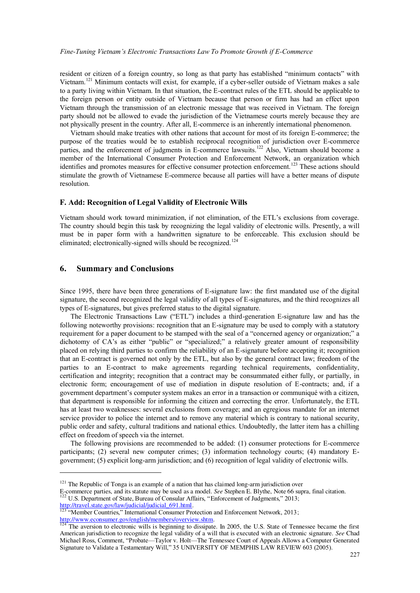#### *Fine-Tuning Vietnam's Electronic Transactions Law To Promote Growth if E-Commerce*

resident or citizen of a foreign country, so long as that party has established "minimum contacts" with Vietnam.<sup>121</sup> Minimum contacts will exist, for example, if a cyber-seller outside of Vietnam makes a sale to a party living within Vietnam. In that situation, the E-contract rules of the ETL should be applicable to the foreign person or entity outside of Vietnam because that person or firm has had an effect upon Vietnam through the transmission of an electronic message that was received in Vietnam. The foreign party should not be allowed to evade the jurisdiction of the Vietnamese courts merely because they are not physically present in the country. After all, E-commerce is an inherently international phenomenon.

Vietnam should make treaties with other nations that account for most of its foreign E-commerce; the purpose of the treaties would be to establish reciprocal recognition of jurisdiction over E-commerce parties, and the enforcement of judgments in E-commerce lawsuits.<sup>122</sup> Also, Vietnam should become a member of the International Consumer Protection and Enforcement Network, an organization which identifies and promotes measures for effective consumer protection enforcement.<sup>123</sup> These actions should stimulate the growth of Vietnamese E-commerce because all parties will have a better means of dispute resolution.

#### **F. Add: Recognition of Legal Validity of Electronic Wills**

Vietnam should work toward minimization, if not elimination, of the ETL's exclusions from coverage. The country should begin this task by recognizing the legal validity of electronic wills. Presently, a will must be in paper form with a handwritten signature to be enforceable. This exclusion should be eliminated; electronically-signed wills should be recognized.<sup>124</sup>

#### **6. Summary and Conclusions**

 $\overline{a}$ 

Since 1995, there have been three generations of E-signature law: the first mandated use of the digital signature, the second recognized the legal validity of all types of E-signatures, and the third recognizes all types of E-signatures, but gives preferred status to the digital signature.

The Electronic Transactions Law ("ETL") includes a third-generation E-signature law and has the following noteworthy provisions: recognition that an E-signature may be used to comply with a statutory requirement for a paper document to be stamped with the seal of a "concerned agency or organization;" a dichotomy of CA's as either "public" or "specialized;" a relatively greater amount of responsibility placed on relying third parties to confirm the reliability of an E-signature before accepting it; recognition that an E-contract is governed not only by the ETL, but also by the general contract law; freedom of the parties to an E-contract to make agreements regarding technical requirements, confidentiality, certification and integrity; recognition that a contract may be consummated either fully, or partially, in electronic form; encouragement of use of mediation in dispute resolution of E-contracts; and, if a government department's computer system makes an error in a transaction or communiqué with a citizen, that department is responsible for informing the citizen and correcting the error. Unfortunately, the ETL has at least two weaknesses: several exclusions from coverage; and an egregious mandate for an internet service provider to police the internet and to remove any material which is contrary to national security, public order and safety, cultural traditions and national ethics. Undoubtedly, the latter item has a chilling effect on freedom of speech via the internet.

The following provisions are recommended to be added: (1) consumer protections for E-commerce participants; (2) several new computer crimes; (3) information technology courts; (4) mandatory Egovernment; (5) explicit long-arm jurisdiction; and (6) recognition of legal validity of electronic wills.

E-commerce parties, and its statute may be used as a model. *See* Stephen E. Blythe, Note 66 supra, final citation.

 $121$  The Republic of Tonga is an example of a nation that has claimed long-arm jurisdiction over

<sup>&</sup>lt;sup>122</sup> U.S. Department of State, Bureau of Consular Affairs, "Enforcement of Judgments," 2013; http://travel.state.gov/law/judicial/judicial 691.html.

<sup>&</sup>lt;sup>123</sup> "Member Countries," International Consumer Protection and Enforcement Network, 2013; http://www.econsumer.gov/english/members/overview.shtm.

The aversion to electronic wills is beginning to dissipate. In 2005, the U.S. State of Tennessee became the first American jurisdiction to recognize the legal validity of a will that is executed with an electronic signature. *See* Chad Michael Ross, Comment, "Probate—Taylor v. Holt—The Tennessee Court of Appeals Allows a Computer Generated Signature to Validate a Testamentary Will," 35 UNIVERSITY OF MEMPHIS LAW REVIEW 603 (2005).